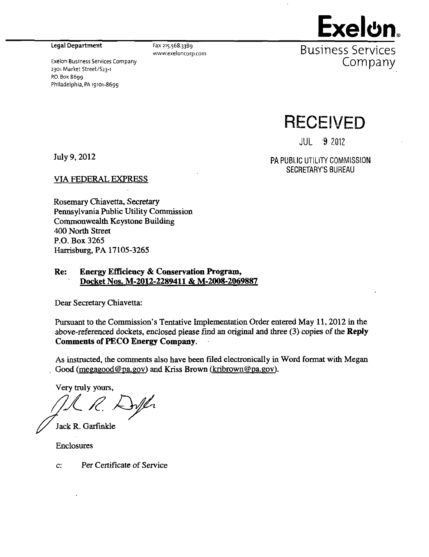Legal Department

2301 Market Street/S23-i

Philadelphia, PA 19101-8699

P.O. Box 8699

Exeion Business Services Company

Fax 215.568.3389 www.exeloncorp.com



Business Services Company

**RECEIVED** 

 $JUL$   $9$  2012

July 9,2012

PA PUBLIC UTILITY COMMISSION SECRETARY'S BUREAU

VIA FEDERAL EXPRESS

Rosemary Chiavetta, Secretary Pennsylvania Public Utility Commission Commonwealth Keystone Building 400 North Street P.O. Box 3265 Harrisburg, PA 17105-3265

### Re: Energy Efficiency & Conservation Program, Docket Nos. M-2012-2289411 & M-2008-2069887

Dear Secretary Chiavetta:

Pursuant to the Commission's Tentative Implementation Order entered May 11, 2012 in the above-referenced dockets, enclosed please find an original and three (3) copies of the Reply Comments of PECO Energy Company.

As instructed, the comments also have been filed electronically in Word format with Megan Good (megagood@pa.gov) and Kriss Brown ( $kribrown@pa.gov$ ).

Very truly yours.

Jack R. Garfinkle

Enclosures

**c:** Per Certificate of Service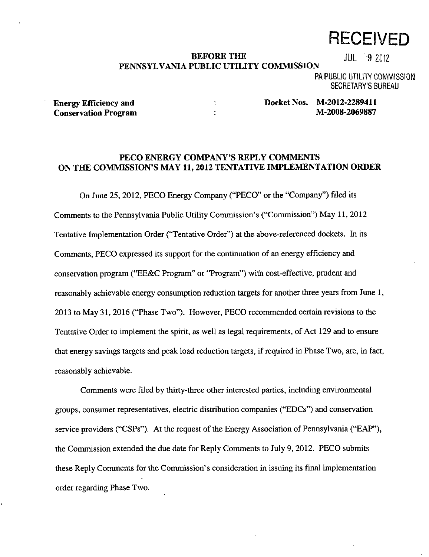# **RECEIVED**

### BEFORE THE JUL 9 2012 **PENNSYLVANIA PUBLIC UTILITY COMMISSION**

PA PUBLIC UTILITY COMMISSION SECRETARY'S BUREAU

**Conservation Program M-2008-2008** 

Energy Efficiency and **Energy Efficiency and M-2012-2289411**<br>
Conservation Program **Docket Nos. M-2008-2069887** 

### **PECO ENERGY COMPANY'S REPLY COMMENTS ON THE COMMISSION'S MAY 11,2012 TENTATIVE IMPLEMENTATION ORDER**

On June 25, 2012, PECO Energy Company ("PECO" or the "Company") filed its Comments to the Pennsylvania Public Utility Commission's ("Commission") May 11, 2012 Tentative Implementation Order ('Tentative Order") at the above-referenced dockets. In its Comments, PECO expressed its support for the continuation of an energy efficiency and conservation program ("EE&C Program" or "Program") with cost-effective, prudent and reasonably achievable energy consumption reduction targets for another three years from June 1, 2013 to May 31, 2016 ("Phase Two"). However, PECO recommended certain revisions to the Tentative Order to implement the spirit, as well as legal requirements, of Act 129 and to ensure that energy savings targets and peak load reduction targets, if required in Phase Two, are, in fact, reasonably achievable.

Comments were filed by thirty-three other interested parties, including environmental groups, consumer representatives, electric distribution companies ("EDCs") and conservation service providers ("CSPs"). At the request of the Energy Association of Pennsylvania ("EAP"), the Commission extended the due date for Reply Comments to July 9, 2012. PECO submits these Reply Comments for the Commission's consideration in issuing its final implementation order regarding Phase Two.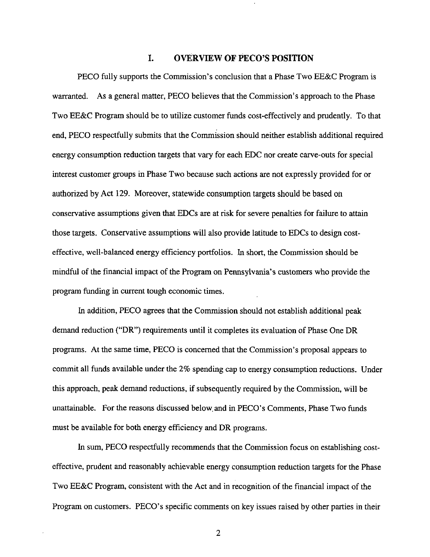#### **1. OVERVIEW OF PECO'S POSITION**

PECO fully supports the Commission's conclusion that a Phase Two EE&C Program is warranted. As a general matter, PECO believes that the Commission's approach to the Phase Two EE&C Program should be to utilize customer funds cost-effectively and prudently. To that end, PECO respectfully submits that the Commission should neither establish additional required energy consumption reduction targets that vary for each EDC nor create carve-outs for special interest customer groups in Phase Two because such actions are not expressly provided for or authorized by Act 129. Moreover, statewide consumption targets should be based on conservative assumptions given that EDCs are at risk for severe penalties for failure to attain those targets. Conservative assumptions will also provide latitude to EDCs to design costeffective, well-balanced energy efficiency portfolios. In short, the Commission should be mindful of the financial impact of the Program on Pennsylvania's customers who provide the program funding in current tough economic times.

In addition, PECO agrees that the Commission should not establish additional peak demand reduction ("DR") requirements until it completes its evaluation of Phase One DR programs. At the same time, PECO is concerned that the Commission's proposal appears to commit all funds available under the 2% spending cap to energy consumption reductions. Under this approach, peak demand reductions, if subsequently required by the Commission, will be unattainable. For the reasons discussed below, and in PECO's Comments, Phase Two funds must be available for both energy efficiency and DR programs.

In sum, PECO respectfully recommends that the Commission focus on establishing costeffective, prudent and reasonably achievable energy consumption reduction targets for the Phase Two EE&C Program, consistent with the Act and in recognition of the financial impact of the Program on customers. PECO's specific comments on key issues raised by other parties in their

 $\overline{2}$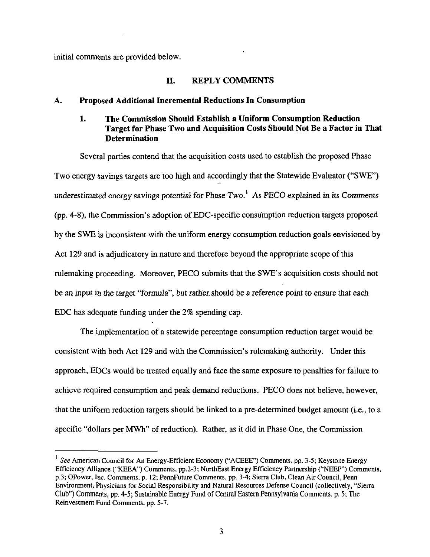initial comments are provided below.

#### **II. REPLY COMMENTS**

#### **A. Proposed Additional Incremental Reductions In Consumption**

# **1. The Commission Should Establish a Uniform Consumption Reduction Target for Phase Two and Acquisition Costs Should Not Be a Factor in That Determination**

Several parties contend that the acquisition costs used to establish the proposed Phase Two energy savings targets are too high and accordingly that the Statewide Evaluator ("SWE") underestimated energy savings potential for Phase  $Two<sup>1</sup>$ . As PECO explained in its Comments (pp. 4-8), the Conunission's adoption of EDC-specific consumption reduction targets proposed by the SWE is inconsistent with the uniform energy consumption reduction goals envisioned by Act 129 and is adjudicatory in nature and therefore beyond the appropriate scope of this rulemaking proceeding. Moreover, PECO submits that the SWE's acquisition costs should not be an input in the target "formula", but rather should be a reference point to ensure that each EDC has adequate funding under the 2% spending cap.

The implementation of a statewide percentage consumption reduction target would be consistent with both Act 129 and with the Commission's rulemaking authority. Under this approach, EDCs would be treated equally and face the same exposure to penalties for failure to achieve required consumption and peak demand reductions. PECO does not believe, however, that the uniform reduction targets should be linked to a pre-determined budget amount (i.e., to a specific "dollars per MWh" of reduction). Rather, as it did in Phase One, the Commission

See American Council for An Energy-Efficient Economy ("ACEEE") Comments, pp. 3-5; Keystone Energy Efficiency Alliance ("KEEA") Comments, pp.2-3; NorthEast Energy Efficiency Partnership ("NEEP") Comments, p.3; OPower, Inc. Comments, p. 12; PennFuture Comments, pp. 3-4; Sierra Club, Clean Air Council, Penn Environment, Physicians for Social Responsibility and Natural Resources Defense Council (collectively, "Sierra Club") Comments, pp. 4-5; Sustainable Energy Fund of Central Eastern Pennsylvania Comments, p. 5; The Reinvestment Fund Comments, pp. 5-7.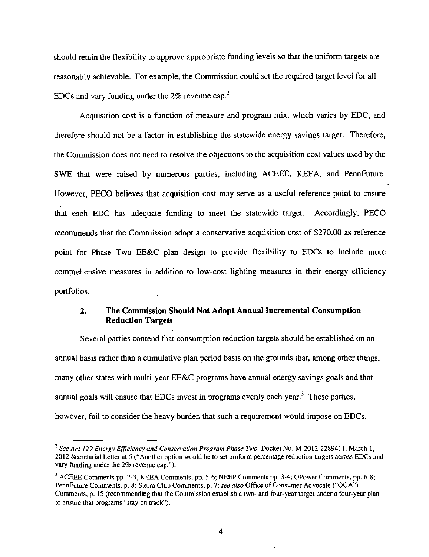should retain the flexibility to approve appropriate funding levels so that the uniform targets are reasonably achievable. For example, the Commission could set the required target level for all EDCs and vary funding under the  $2\%$  revenue cap.<sup>2</sup>

Acquisition cost is a function of measure and program mix, which varies by EDC, and therefore should not be a factor in establishing the statewide energy savings target. Therefore, the Commission does not need to resolve the objections to the acquisition cost values used by the SWE that were raised by numerous parties, including ACEEE, KEEA, and PennFuture. However, PECO believes that acquisition cost may serve as a useful reference point to ensure that each EDC has adequate funding to meet the statewide target. Accordingly, PECO recommends that the Commission adopt a conservative acquisition cost of \$270.00 as reference point for Phase Two EE&C plan design to provide flexibility to EDCs to include more comprehensive measures in addition to low-cost lighting measures in their energy efficiency portfolios.

## **2. The Commission Should Not Adopt Annual Incremental Consumption Reduction Targets**

Several parties contend that consumption reduction targets should be established on an annual basis rather than a cumulative plan period basis on the grounds that, among other things, many other states with multi-year EE&C programs have annual energy savings goals and that annual goals will ensure that EDCs invest in programs evenly each year.<sup>3</sup> These parties, however, fail to consider the heavy burden that such a requirement would impose on EDCs.

<sup>&</sup>lt;sup>2</sup> See Act 129 Energy Efficiency and Conservation Program Phase Two. Docket No. M-2012-2289411, March 1, 2012 Secretarial Letter at 5 ("Another option would be to set uniform percentage reduction targets across EDCs and vary funding under the 2% revenue cap.").

<sup>&</sup>lt;sup>3</sup> ACEEE Comments pp. 2-3, KEEA Comments, pp. 5-6; NEEP Comments pp. 3-4; OPower Comments, pp. 6-8; PennFuture Comments, p. 8; Sierra Club Comments, p. 7; see also Office of Consumer Advocate ("OCA") Comments, p. 15 (recommending that the Commission establish a two- and four-year target under a four-year plan to ensure that programs "stay on track").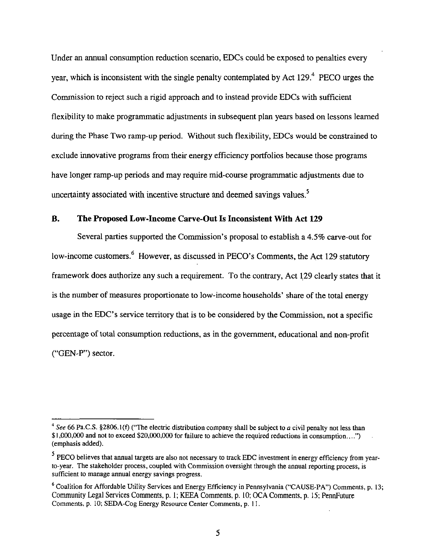Under an annual consumption reduction scenario, EDCs could be exposed to penalties every year, which is inconsistent with the single penalty contemplated by Act  $129<sup>4</sup>$  PECO urges the Commission to reject such a rigid approach and to instead provide EDCs with sufficient flexibility to make programmatic adjustments in subsequent plan years based on lessons learned during the Phase Two ramp-up period. Without such flexibility, EDCs would be constrained to exclude innovative programs from their energy efficiency portfolios because those programs have longer ramp-up periods and may require mid-course programmatic adjustments due to uncertainty associated with incentive structure and deemed savings values.<sup>5</sup>

#### **B. The Proposed Low-Income Carve-Out Is Inconsistent With Act 129**

Several parties supported the Commission's proposal to establish a 4.5% carve-out for low-income customers.<sup>6</sup> However, as discussed in PECO's Comments, the Act 129 statutory framework does authorize any such a requirement. To the contrary. Act 129 clearly states that it is the number of measures proportionate to low-income households' share of the total energy usage in the EDC's service territory that is to be considered by the Commission, not a specific percentage of total consumption reductions, as in the government, educational and non-profit ("GEN-P") sector.

<sup>&</sup>lt;sup>4</sup> See 66 Pa.C.S. §2806.1(f) ("The electric distribution company shall be subject to a civil penalty not less than \$ 1,000,000 and not to exceed \$20,000,000 for failure to achieve the required reductions in consumption....") (emphasis added).

 $<sup>5</sup>$  PECO believes that annual targets are also not necessary to track EDC investment in energy efficiency from year-</sup> to-year. The stakeholder process, coupled with Commission oversight through the annual reporting process, is sufficient to manage annual energy savings progress.

<sup>&</sup>lt;sup>6</sup> Coalition for Affordable Utility Services and Energy Efficiency in Pennsylvania ("CAUSE-PA") Comments, p. 13; Community Legal Services Comments, p. 1; KEEA Comments, p. 10; OCA Comments, p. 15; PennFuture Comments, p. 10; SEDA-Cog Energy Resource Center Comments, p. 11.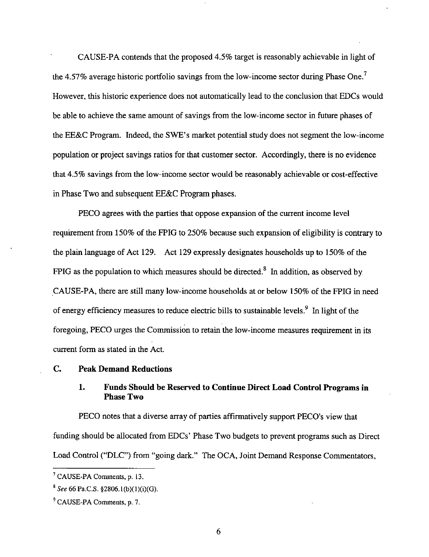CAUSE-PA contends that the proposed 4.5% target is reasonably achievable in light of the 4.57% average historic portfolio savings from the low-income sector during Phase One.<sup>7</sup> However, this historic experience does not automatically lead to the conclusion that EDCs would be able to achieve the same amount of savings from the low-income sector in future phases of the EE&C Program. Indeed, the SWE's market potential study does not segment the low-income population or project savings ratios for that customer sector. Accordingly, there is no evidence that 4.5% savings from the low-income sector would be reasonably achievable or cost-effective in Phase Two and subsequent EE&C Program phases.

PECO agrees with the parties that oppose expansion of the current income level requirement from 150% of the FPIG to 250% because such expansion of eligibility is contrary to the plain language of Act 129. Act 129 expressly designates households up to 150% of the FPIG as the population to which measures should be directed.<sup>8</sup> In addition, as observed by CAUSE-PA, there are still many low-income households at or below 150% of the FPIG in need of energy efficiency measures to reduce electric bills to sustainable levels.<sup>9</sup> In light of the foregoing, PECO urges the Commission to retain the low-income measures requirement in its current form as stated in the Act.

#### **C. Peak Demand Reductions**

#### **1. Funds Should be Reserved to Continue Direct Load Control Programs in Phase Two**

PECO notes that a diverse array of parties affirmatively support PECO's view that funding should be allocated from EDCs' Phase Two budgets to prevent programs such as Direct Load Control ("DLC") from "going dark." The OCA, Joint Demand Response Commentators,

<sup>7</sup> CAUSE-PA Comments, p. 13.

<sup>&</sup>lt;sup>8</sup> See 66 Pa.C.S. §2806.1(b)(1)(i)(G).

<sup>&</sup>lt;sup>9</sup> CAUSE-PA Comments, p. 7.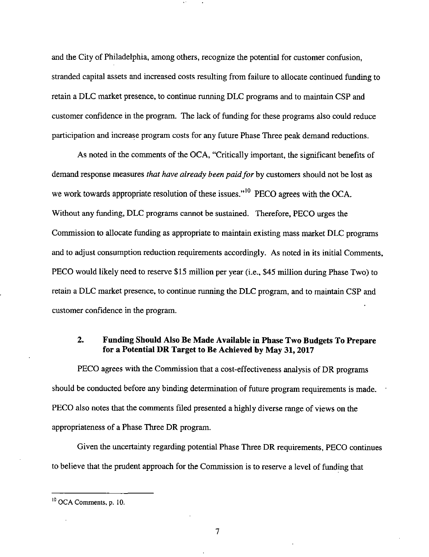and the City of Philadelphia, among others, recognize the potential for customer confusion, stranded capital assets and increased costs resulting from failure to allocate continued funding to retain a DLC market presence, to continue running DLC programs and to maintain CSP and customer confidence in the program. The lack of funding for these programs also could reduce participation and increase program costs for any future Phase Three peak demand reductions.

As noted in the comments of the OCA, "Critically important, the significant benefits of demand response measures that have already been paid for by customers should not be lost as we work towards appropriate resolution of these issues."<sup>10</sup> PECO agrees with the OCA. Without any funding, DLC programs cannot be sustained. Therefore, PECO urges the Commission to allocate funding as appropriate to maintain existing mass market DLC programs and to adjust consumption reduction requirements accordingly. As noted in its initial Comments, PECO would likely need to reserve \$15 million per year (i.e., \$45 million during Phase Two) to retain a DLC market presence, to continue running the DLC program, and to maintain CSP and customer confidence in the program.

#### **2. Funding Should Also Be Made Available in Phase Two Budgets To Prepare for a Potential DR Target to Be Achieved by May 31,2017**

PECO agrees with the Commission that a cost-effectiveness analysis of DR programs should be conducted before any binding determination of future program requirements is made. PECO also notes that the comments filed presented a highly diverse range of views on the appropriateness of a Phase Three DR program.

Given the uncertainty regarding potential Phase Three DR requirements, PECO continues to believe that the prudent approach for the Commission is to reserve a level of funding that

7

 $10$  OCA Comments, p. 10.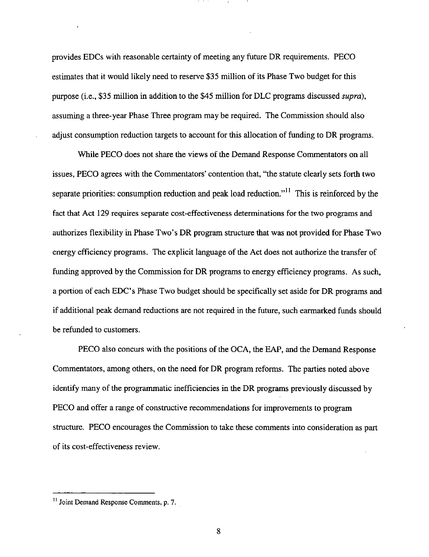provides EDCs with reasonable certainty of meeting any future DR requirements. PECO estimates that it would likely need to reserve \$35 million of its Phase Two budget for this purpose (i.e., \$35 million in addition to the \$45 million for DLC programs discussed supra), assuming a three-year Phase Three program may be required. The Commission should also adjust consumption reduction targets to account for this allocation of funding to DR programs.

While PECO does not share the views of the Demand Response Commentators on all issues, PECO agrees with the Commentators' contention that, "the statute clearly sets forth two separate priorities: consumption reduction and peak load reduction."<sup>II</sup> This is reinforced by the fact that Act 129 requires separate cost-effectiveness determinations for the two programs and authorizes flexibility in Phase Two's DR program structure that was not provided for Phase Two energy efficiency programs. The explicit language of the Act does not authorize the transfer of funding approved by the Commission for DR programs to energy efficiency programs. As such, a portion of each EDC's Phase Two budget should be specifically set aside for DR programs and if additional peak demand reductions are not required in the future, such earmarked funds should be refunded to customers.

PECO also concurs with the positions of the OCA, the EAP, and the Demand Response Commentators, among others, on the need for DR program reforms. The parties noted above identify many of the programmatic inefficiencies in the DR programs previously discussed by PECO and offer a range of constructive recommendations for improvements to program structure. PECO encourages the Commission to take these comments into consideration as part of its cost-effectiveness review.

8

<sup>&</sup>lt;sup>11</sup> Joint Demand Response Comments, p. 7.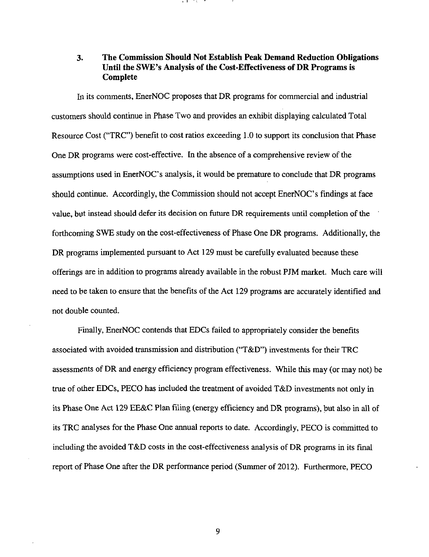# **3. The Commission Should Not Establish Peak Demand Reduction Obligations Until the SWE's Analysis of the Cost-Effectiveness of DR Programs is Complete**

In its comments, EnerNOC proposes that DR programs for commercial and industrial customers should continue in Phase Two and provides an exhibit displaying calculated Total Resource Cost ("TRC") benefit to cost ratios exceeding 1.0 to support its conclusion that Phase One DR programs were cost-effective. In the absence of a comprehensive review of the assumptions used in EnerNOC's analysis, it would be premature to conclude that DR programs should continue. Accordingly, the Commission should not accept EnerNOC's findings at face value, but instead should defer its decision on future DR requirements until completion of the forthcoming SWE study on the cost-effectiveness of Phase One DR programs. Additionally, the DR programs implemented pursuant to Act 129 must be carefully evaluated because these offerings are in addition to programs already available in the robust PJM market. Much care will need to be taken to ensure that the benefits of the Act 129 programs are accurately identified and not double counted.

Finally, EnerNOC contends that EDCs failed to appropriately consider the benefits associated with avoided transmission and distribution ("T&D") investments for their TRC assessments of DR and energy efficiency program effectiveness. While this may (or may not) be true of other EDCs, PECO has included the treatment of avoided T&D investments not only in its Phase One Act 129 EE&C Plan filing (energy efficiency and DR programs), but also in all of its TRC analyses for the Phase One annual reports to date. Accordingly, PECO is committed to including the avoided T&D costs in the cost-effectiveness analysis of DR programs in its final report of Phase One after the DR performance period (Summer of 2012). Furthermore, PECO

9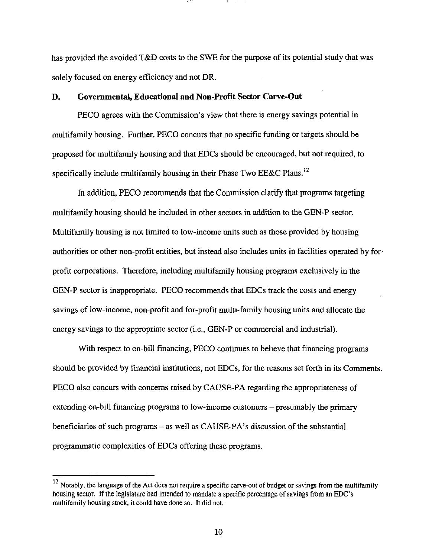has provided the avoided T&D costs to the SWE for the purpose of its potential study that was solely focused on energy efficiency and not DR.

#### **D. Governmental, Educational and Non-Profit Sector Carve-Out**

PECO agrees with the Commission's view that there is energy savings potential in multifamily housing. Further, PECO concurs that no specific funding or targets should be proposed for multifamily housing and that EDCs should be encouraged, but not required, to specifically include multifamily housing in their Phase Two EE&C Plans.<sup>12</sup>

In addition, PECO recommends that the Commission clarify that programs targeting multifamily housing should be included in other sectors in addition to the GEN-P sector. Multifamily housing is not limited to low-income units such as those provided by housing authorities or other non-profit entities, but instead also includes units in facilities operated by forprofit corporations. Therefore, including multifamily housing programs exclusively in the GEN-P sector is inappropriate. PECO recommends that EDCs track the costs and energy savings of low-income, non-profit and for-profit multi-family housing units and allocate the energy savings to the appropriate sector (i.e., GEN-P or commercial and industrial).

With respect to on-bill financing, PECO continues to believe that financing programs should be provided by financial institutions, not EDCs, for the reasons set forth in its Comments. PECO also concurs with concerns raised by CAUSE-PA regarding the appropriateness of extending on-bill financing programs to low-income customers – presumably the primary beneficiaries of such programs - as well as CAUSE-PA's discussion of the substantial programmatic complexities of EDCs offering these programs.

<sup>12</sup>  Notably, the language of the Act does not require a specific carve-out of budget or savings from the multifamily<br>using sector. If the legislature had intended to mandate a specific persentage of savings from an EDC's. housing sector. If the legislature had intended to mandate a specific percentage of savings from an EDC's multifamily housing stock, it could have done so. It did not.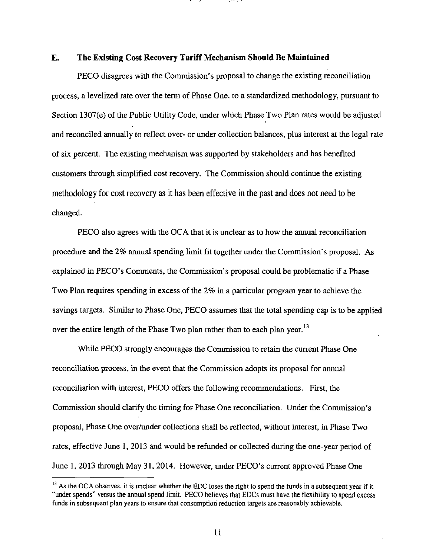#### **E. The Existing Cost Recovery Tariff Mechanism Should Be Maintained**

PECO disagrees with the Commission's proposal to change the existing reconciliation process, a levelized rate over the term of Phase One, to a standardized methodology, pursuant to Section 1307(e) of the Public Utility Code, under which Phase Two Plan rates would be adjusted and reconciled annually to reflect over- or under collection balances, plus interest at the legal rate of six percent. The existing mechanism was supported by stakeholders and has benefited customers through simplified cost recovery. The Commission should continue the existing methodology for cost recovery as it has been effective in the past and does not need to be changed.

PECO also agrees with the OCA that it is unclear as to how the annual reconciliation procedure and the 2% annual spending limit fit together under the Commission's proposal. As explained in PECO's Comments, the Commission's proposal could be problematic if a Phase Two Plan requires spending in excess of the 2% in a particular program year to achieve the savings targets. Similar to Phase One, PECO assumes that the total spending cap is to be applied over the entire length of the Phase Two plan rather than to each plan year.<sup>13</sup>

While PECO strongly encourages the Commission to retain the current Phase One reconciliation process, in the event that the Commission adopts its proposal for annual reconciliation with interest, PECO offers the following recommendations. First, the Commission should clarify the timing for Phase One reconciliation. Under the Commission's proposal, Phase One over/under collections shall be reflected, without interest, in Phase Two rates, effective June 1, 2013 and would be refunded or collected during the one-year period of June 1, 2013 through May 31, 2014. However, under PECO's current approved Phase One

 $1<sup>13</sup>$  As the OCA observes, it is unclear whether the EDC loses the right to spend the funds in a subsequent year if it "under spends" versus the annual spend limit. PECO believes that EDCs must have the flexibility to spend excess funds in subsequent plan years to ensure that consumption reduction targets are reasonably achievable.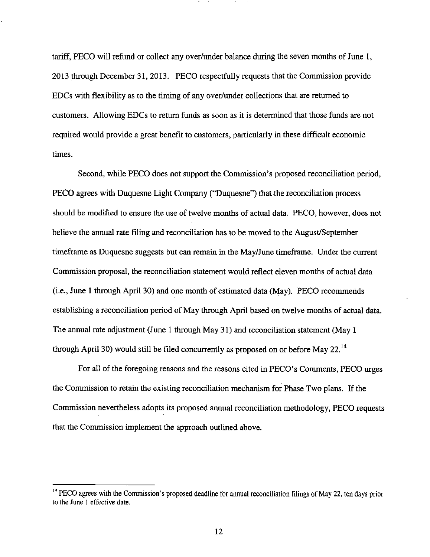tariff, PECO will refund or collect any over/under balance during the seven months of June 1, 2013 through December 31, 2013. PECO respectfully requests that the Commission provide EDCs with flexibility as to the timing of any over/under collections that are returned to customers. Allowing EDCs to return funds as soon as it is determined that those funds are not required would provide a great benefit to customers, particularly in these difficult economic times.

Second, while PECO does not support the Commission's proposed reconciliation period, PECO agrees with Duquesne Light Company ("Duquesne") that the reconciliation process should be modified to ensure the use of twelve months of actual data. PECO, however, does not believe the annual rate filing and reconciliation has to be moved to the August/September timeframe as Duquesne suggests but can remain in the May/June timeframe. Under the current Commission proposal, the reconciliation statement would reflect eleven months of actual data (i.e., June 1 through April 30) and one month of estimated data (May). PECO recommends establishing a reconciliation period of May through April based on twelve months of actual data. The annual rate adjustment (June 1 through May 31) and reconciliation statement (May 1 through April 30) would still be filed concurrently as proposed on or before May 22.<sup>14</sup>

For all of the foregoing reasons and the reasons cited in PECO's Comments, PECO urges the Commission to retain the existing reconciliation mechanism for Phase Two plans. If the Commission nevertheless adopts its proposed annual reconciliation methodology, PECO requests that the Commission implement the approach outlined above.

<sup>&</sup>lt;sup>14</sup> PECO agrees with the Commission's proposed deadline for annual reconciliation filings of May 22, ten days prior to the June 1 effective date.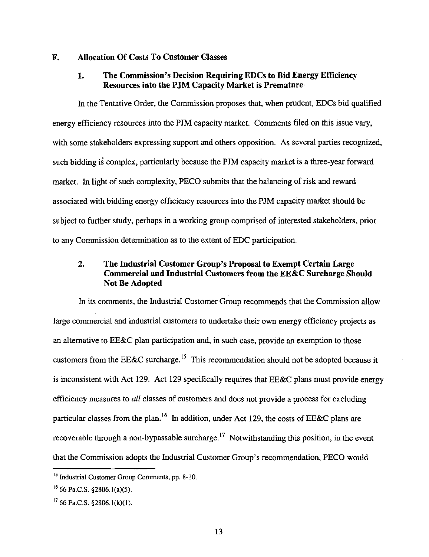#### **F. Allocation Of Costs To Customer Classes**

### **1. The Commission's Decision Requiring EDCs to Bid Energy Efficiency Resources into the PJM Capacity Market is Premature**

In the Tentative Order, the Commission proposes that, when prudent, EDCs bid qualified energy efficiency resources into the PJM capacity market. Comments filed on this issue vary, with some stakeholders expressing support and others opposition. As several parties recognized, such bidding is complex, particularly because the PJM capacity market is a three-year forward market. In light of such complexity, PECO submits that the balancing of risk and reward associated with bidding energy efficiency resources into the PJM capacity market should be subject to further study, perhaps in a working group comprised of interested stakeholders, prior to any Commission determination as to the extent of EDC participation.

# **2. The Industrial Customer Group's Proposal to Exempt Certain Large Commercial and Industrial Customers from the EE&C Surcharge Should Not Be Adopted**

In its comments, the Industrial Customer Group recommends that the Commission allow large commercial and industrial customers to undertake their own energy efficiency projects as an alternative to EE&C plan participation and, in such case, provide an exemption to those customers from the EE&C surcharge.<sup>15</sup> This recommendation should not be adopted because it is inconsistent with Act 129. Act 129 specifically requires that EE&C plans must provide energy efficiency measures to all classes of customers and does not provide a process for excluding particular classes from the plan.<sup>16</sup> In addition, under Act 129, the costs of EE&C plans are recoverable through a non-bypassable surcharge.<sup>17</sup> Notwithstanding this position, in the event that the Commission adopts the Industrial Customer Group's recommendation, PECO would

<sup>&</sup>lt;sup>15</sup> Industrial Customer Group Comments, pp. 8-10.

 $^{16}$  66 Pa.C.S. §2806.1(a)(5).

 $1766$  Pa.C.S. §2806.1(k)(1).